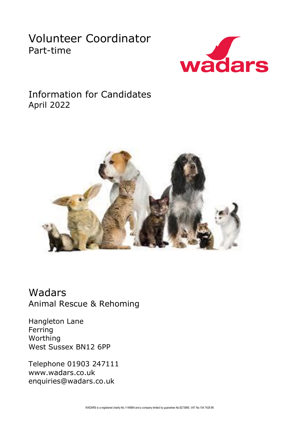# Volunteer Coordinator Part-time



Information for Candidates April 2022



Wadars Animal Rescue & Rehoming

Hangleton Lane Ferring Worthing West Sussex BN12 6PP

Telephone 01903 247111 www.wadars.co.uk enquiries@wadars.co.uk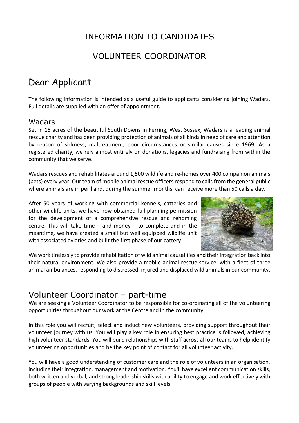# INFORMATION TO CANDIDATES

## VOLUNTEER COORDINATOR

# Dear Applicant

The following information is intended as a useful guide to applicants considering joining Wadars. Full details are supplied with an offer of appointment.

## Wadars

Set in 15 acres of the beautiful South Downs in Ferring, West Sussex, Wadars is a leading animal rescue charity and has been providing protection of animals of all kinds in need of care and attention by reason of sickness, maltreatment, poor circumstances or similar causes since 1969. As a registered charity, we rely almost entirely on donations, legacies and fundraising from within the community that we serve.

Wadars rescues and rehabilitates around 1,500 wildlife and re-homes over 400 companion animals (pets) every year. Our team of mobile animal rescue officers respond to calls from the general public where animals are in peril and, during the summer months, can receive more than 50 calls a day.

After 50 years of working with commercial kennels, catteries and other wildlife units, we have now obtained full planning permission for the development of a comprehensive rescue and rehoming centre. This will take time  $-$  and money  $-$  to complete and in the meantime, we have created a small but well equipped wildlife unit with associated aviaries and built the first phase of our cattery.



We work tirelessly to provide rehabilitation of wild animal causalities and their integration back into their natural environment. We also provide a mobile animal rescue service, with a fleet of three animal ambulances, responding to distressed, injured and displaced wild animals in our community.

# Volunteer Coordinator – part-time

We are seeking a Volunteer Coordinator to be responsible for co-ordinating all of the volunteering opportunities throughout our work at the Centre and in the community.

In this role you will recruit, select and induct new volunteers, providing support throughout their volunteer journey with us. You will play a key role in ensuring best practice is followed, achieving high volunteer standards. You will build relationships with staff across all our teams to help identify volunteering opportunities and be the key point of contact for all volunteer activity.

You will have a good understanding of customer care and the role of volunteers in an organisation, including their integration, management and motivation. You'll have excellent communication skills, both written and verbal, and strong leadership skills with ability to engage and work effectively with groups of people with varying backgrounds and skill levels.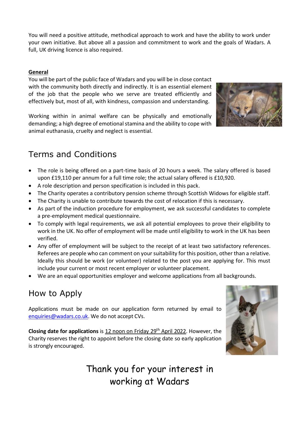You will need a positive attitude, methodical approach to work and have the ability to work under your own initiative. But above all a passion and commitment to work and the goals of Wadars. A full, UK driving licence is also required.

### **General**

You will be part of the public face of Wadars and you will be in close contact with the community both directly and indirectly. It is an essential element of the job that the people who we serve are treated efficiently and effectively but, most of all, with kindness, compassion and understanding.

Working within in animal welfare can be physically and emotionally demanding; a high degree of emotional stamina and the ability to cope with animal euthanasia, cruelty and neglect is essential.



# Terms and Conditions

- The role is being offered on a part-time basis of 20 hours a week. The salary offered is based upon £19,110 per annum for a full time role; the actual salary offered is £10,920.
- A role description and person specification is included in this pack.
- The Charity operates a contributory pension scheme through Scottish Widows for eligible staff.
- The Charity is unable to contribute towards the cost of relocation if this is necessary.
- As part of the induction procedure for employment, we ask successful candidates to complete a pre-employment medical questionnaire.
- To comply with legal requirements, we ask all potential employees to prove their eligibility to work in the UK. No offer of employment will be made until eligibility to work in the UK has been verified.
- Any offer of employment will be subject to the receipt of at least two satisfactory references. Referees are people who can comment on your suitability for this position, other than a relative. Ideally this should be work (or volunteer) related to the post you are applying for. This must include your current or most recent employer or volunteer placement.
- We are an equal opportunities employer and welcome applications from all backgrounds.

# How to Apply

Applications must be made on our application form returned by email to [enquiries@wadars.co.uk.](mailto:enquiries@wadars.co.uk) We do not accept CVs.

**Closing date for applications** is 12 noon on Friday 29th April 2022. However, the Charity reserves the right to appoint before the closing date so early application is strongly encouraged.



Thank you for your interest in working at Wadars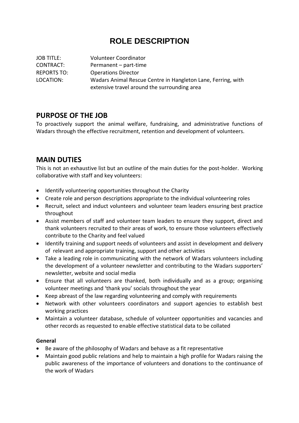## **ROLE DESCRIPTION**

JOB TITLE: Volunteer Coordinator CONTRACT: Permanent – part-time REPORTS TO: Operations Director LOCATION: Wadars Animal Rescue Centre in Hangleton Lane, Ferring, with extensive travel around the surrounding area

## **PURPOSE OF THE JOB**

To proactively support the animal welfare, fundraising, and administrative functions of Wadars through the effective recruitment, retention and development of volunteers.

## **MAIN DUTIES**

This is not an exhaustive list but an outline of the main duties for the post-holder. Working collaborative with staff and key volunteers:

- Identify volunteering opportunities throughout the Charity
- Create role and person descriptions appropriate to the individual volunteering roles
- Recruit, select and induct volunteers and volunteer team leaders ensuring best practice throughout
- Assist members of staff and volunteer team leaders to ensure they support, direct and thank volunteers recruited to their areas of work, to ensure those volunteers effectively contribute to the Charity and feel valued
- Identify training and support needs of volunteers and assist in development and delivery of relevant and appropriate training, support and other activities
- Take a leading role in communicating with the network of Wadars volunteers including the development of a volunteer newsletter and contributing to the Wadars supporters' newsletter, website and social media
- Ensure that all volunteers are thanked, both individually and as a group; organising volunteer meetings and 'thank you' socials throughout the year
- Keep abreast of the law regarding volunteering and comply with requirements
- Network with other volunteers coordinators and support agencies to establish best working practices
- Maintain a volunteer database, schedule of volunteer opportunities and vacancies and other records as requested to enable effective statistical data to be collated

### **General**

- Be aware of the philosophy of Wadars and behave as a fit representative
- Maintain good public relations and help to maintain a high profile for Wadars raising the public awareness of the importance of volunteers and donations to the continuance of the work of Wadars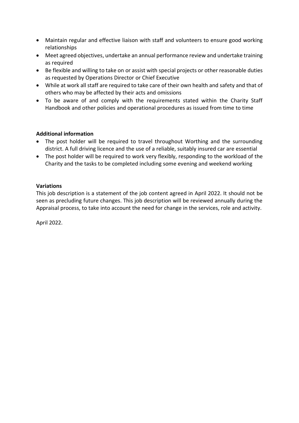- Maintain regular and effective liaison with staff and volunteers to ensure good working relationships
- Meet agreed objectives, undertake an annual performance review and undertake training as required
- Be flexible and willing to take on or assist with special projects or other reasonable duties as requested by Operations Director or Chief Executive
- While at work all staff are required to take care of their own health and safety and that of others who may be affected by their acts and omissions
- To be aware of and comply with the requirements stated within the Charity Staff Handbook and other policies and operational procedures as issued from time to time

### **Additional information**

- The post holder will be required to travel throughout Worthing and the surrounding district. A full driving licence and the use of a reliable, suitably insured car are essential
- The post holder will be required to work very flexibly, responding to the workload of the Charity and the tasks to be completed including some evening and weekend working

#### **Variations**

This job description is a statement of the job content agreed in April 2022. It should not be seen as precluding future changes. This job description will be reviewed annually during the Appraisal process, to take into account the need for change in the services, role and activity.

April 2022.